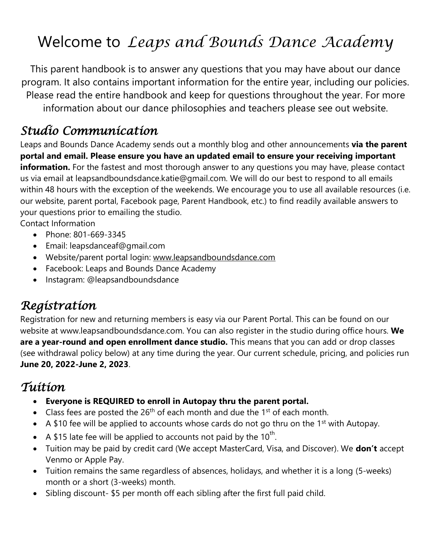# Welcome to *Leaps and Bounds Dance Academy*

This parent handbook is to answer any questions that you may have about our dance program. It also contains important information for the entire year, including our policies. Please read the entire handbook and keep for questions throughout the year. For more information about our dance philosophies and teachers please see out website.

### *Studio Communication*

Leaps and Bounds Dance Academy sends out a monthly blog and other announcements **via the parent portal and email. Please ensure you have an updated email to ensure your receiving important information.** For the fastest and most thorough answer to any questions you may have, please contact us via email at leapsandboundsdance.katie@gmail.com. We will do our best to respond to all emails within 48 hours with the exception of the weekends. We encourage you to use all available resources (i.e. our website, parent portal, Facebook page, Parent Handbook, etc.) to find readily available answers to your questions prior to emailing the studio.

Contact Information

- Phone: 801-669-3345
- Email: leapsdanceaf@gmail.com
- Website/parent portal login: [www.leapsandboundsdance.com](http://www.leapsandboundsdance.com/)
- Facebook: Leaps and Bounds Dance Academy
- Instagram: @leapsandboundsdance

### *Registration*

Registration for new and returning members is easy via our Parent Portal. This can be found on our website at www.leapsandboundsdance.com. You can also register in the studio during office hours. **We are a year-round and open enrollment dance studio.** This means that you can add or drop classes (see withdrawal policy below) at any time during the year. Our current schedule, pricing, and policies run **June 20, 2022-June 2, 2023**.

### *Tuition*

- **Everyone is REQUIRED to enroll in Autopay thru the parent portal.**
- Class fees are posted the  $26<sup>th</sup>$  of each month and due the 1<sup>st</sup> of each month.
- A \$10 fee will be applied to accounts whose cards do not go thru on the 1<sup>st</sup> with Autopay.
- A \$15 late fee will be applied to accounts not paid by the 10<sup>th</sup>.
- Tuition may be paid by credit card (We accept MasterCard, Visa, and Discover). We **don't** accept Venmo or Apple Pay.
- Tuition remains the same regardless of absences, holidays, and whether it is a long (5-weeks) month or a short (3-weeks) month.
- Sibling discount- \$5 per month off each sibling after the first full paid child.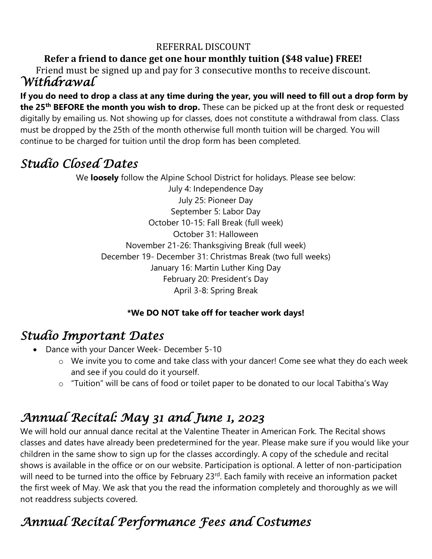#### REFERRAL DISCOUNT

#### **Refer a friend to dance get one hour monthly tuition (\$48 value) FREE!**

*Withdrawal*  Friend must be signed up and pay for 3 consecutive months to receive discount.

**If you do need to drop a class at any time during the year, you will need to fill out a drop form by the 25th BEFORE the month you wish to drop.** These can be picked up at the front desk or requested digitally by emailing us. Not showing up for classes, does not constitute a withdrawal from class. Class must be dropped by the 25th of the month otherwise full month tuition will be charged. You will continue to be charged for tuition until the drop form has been completed.

### *Studio Closed Dates*

We **loosely** follow the Alpine School District for holidays. Please see below: July 4: Independence Day July 25: Pioneer Day September 5: Labor Day October 10-15: Fall Break (full week) October 31: Halloween November 21-26: Thanksgiving Break (full week) December 19- December 31: Christmas Break (two full weeks) January 16: Martin Luther King Day February 20: President's Day April 3-8: Spring Break

#### **\*We DO NOT take off for teacher work days!**

#### *Studio Important Dates*

- Dance with your Dancer Week- December 5-10
	- o We invite you to come and take class with your dancer! Come see what they do each week and see if you could do it yourself.
	- o "Tuition" will be cans of food or toilet paper to be donated to our local Tabitha's Way

# *Annual Recital: May 31 and June 1, 2023*

We will hold our annual dance recital at the Valentine Theater in American Fork. The Recital shows classes and dates have already been predetermined for the year. Please make sure if you would like your children in the same show to sign up for the classes accordingly. A copy of the schedule and recital shows is available in the office or on our website. Participation is optional. A letter of non-participation will need to be turned into the office by February 23<sup>rd</sup>. Each family with receive an information packet the first week of May. We ask that you the read the information completely and thoroughly as we will not readdress subjects covered.

# *Annual Recital Performance Fees and Costumes*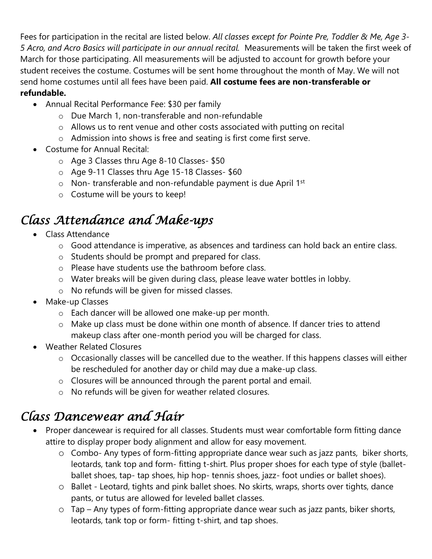Fees for participation in the recital are listed below. *All classes except for Pointe Pre, Toddler & Me, Age 3- 5 Acro, and Acro Basics will participate in our annual recital.* Measurements will be taken the first week of March for those participating. All measurements will be adjusted to account for growth before your student receives the costume. Costumes will be sent home throughout the month of May. We will not send home costumes until all fees have been paid. **All costume fees are non-transferable or refundable.** 

- Annual Recital Performance Fee: \$30 per family
	- o Due March 1, non-transferable and non-refundable
	- o Allows us to rent venue and other costs associated with putting on recital
	- o Admission into shows is free and seating is first come first serve.
- Costume for Annual Recital:
	- o Age 3 Classes thru Age 8-10 Classes- \$50
	- o Age 9-11 Classes thru Age 15-18 Classes- \$60
	- $\circ$  Non-transferable and non-refundable payment is due April 1st
	- o Costume will be yours to keep!

## *Class Attendance and Make-ups*

- Class Attendance
	- o Good attendance is imperative, as absences and tardiness can hold back an entire class.
	- o Students should be prompt and prepared for class.
	- o Please have students use the bathroom before class.
	- o Water breaks will be given during class, please leave water bottles in lobby.
	- o No refunds will be given for missed classes.
- Make-up Classes
	- o Each dancer will be allowed one make-up per month.
	- o Make up class must be done within one month of absence. If dancer tries to attend makeup class after one-month period you will be charged for class.
- Weather Related Closures
	- o Occasionally classes will be cancelled due to the weather. If this happens classes will either be rescheduled for another day or child may due a make-up class.
	- o Closures will be announced through the parent portal and email.
	- o No refunds will be given for weather related closures.

### *Class Dancewear and Hair*

- Proper dancewear is required for all classes. Students must wear comfortable form fitting dance attire to display proper body alignment and allow for easy movement.
	- o Combo- Any types of form-fitting appropriate dance wear such as jazz pants, biker shorts, leotards, tank top and form- fitting t-shirt. Plus proper shoes for each type of style (balletballet shoes, tap- tap shoes, hip hop- tennis shoes, jazz- foot undies or ballet shoes).
	- o Ballet Leotard, tights and pink ballet shoes. No skirts, wraps, shorts over tights, dance pants, or tutus are allowed for leveled ballet classes.
	- o Tap Any types of form-fitting appropriate dance wear such as jazz pants, biker shorts, leotards, tank top or form- fitting t-shirt, and tap shoes.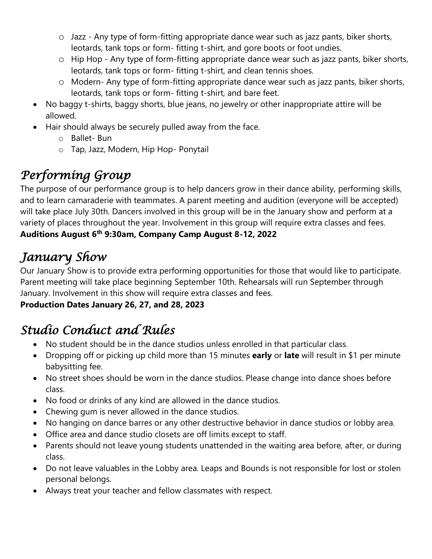- o Jazz Any type of form-fitting appropriate dance wear such as jazz pants, biker shorts, leotards, tank tops or form- fitting t-shirt, and gore boots or foot undies.
- o Hip Hop Any type of form-fitting appropriate dance wear such as jazz pants, biker shorts, leotards, tank tops or form- fitting t-shirt, and clean tennis shoes.
- o Modern- Any type of form-fitting appropriate dance wear such as jazz pants, biker shorts, leotards, tank tops or form- fitting t-shirt, and bare feet.
- No baggy t-shirts, baggy shorts, blue jeans, no jewelry or other inappropriate attire will be allowed.
- Hair should always be securely pulled away from the face.
	- o Ballet- Bun
	- o Tap, Jazz, Modern, Hip Hop- Ponytail

# *Performing Group*

The purpose of our performance group is to help dancers grow in their dance ability, performing skills, and to learn camaraderie with teammates. A parent meeting and audition (everyone will be accepted) will take place July 30th. Dancers involved in this group will be in the January show and perform at a variety of places throughout the year. Involvement in this group will require extra classes and fees. **Auditions August 6th 9:30am, Company Camp August 8-12, 2022** 

## *January Show*

Our January Show is to provide extra performing opportunities for those that would like to participate. Parent meeting will take place beginning September 10th. Rehearsals will run September through January. Involvement in this show will require extra classes and fees.

#### **Production Dates January 26, 27, and 28, 2023**

# *Studio Conduct and Rules*

- No student should be in the dance studios unless enrolled in that particular class.
- Dropping off or picking up child more than 15 minutes **early** or **late** will result in \$1 per minute babysitting fee.
- No street shoes should be worn in the dance studios. Please change into dance shoes before class.
- No food or drinks of any kind are allowed in the dance studios.
- Chewing gum is never allowed in the dance studios.
- No hanging on dance barres or any other destructive behavior in dance studios or lobby area.
- Office area and dance studio closets are off limits except to staff.
- Parents should not leave young students unattended in the waiting area before, after, or during class.
- Do not leave valuables in the Lobby area. Leaps and Bounds is not responsible for lost or stolen personal belongs.
- Always treat your teacher and fellow classmates with respect.